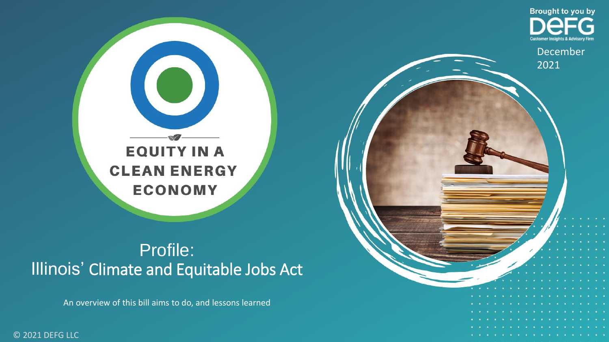

December

**Brought to you by** 

2021

### Profile: Illinois' Climate and Equitable Jobs Act

An overview of this bill aims to do, and lessons learned

© 2021 DEFG LLC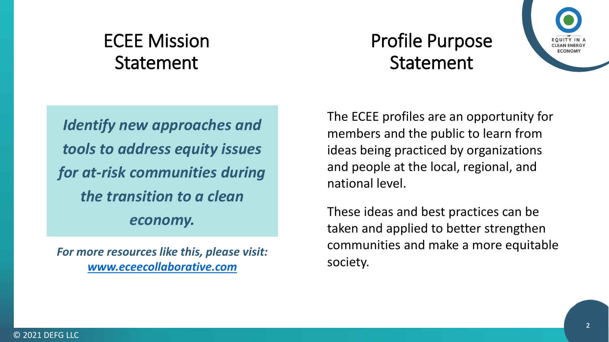## ECEE Mission Statement

*Identify new approaches and tools to address equity issues for at-risk communities during the transition to a clean economy.*

*For more resources like this, please visit: [www.eceecollaborative.com](http://www.eceecollaborative.com/)*

## Profile Purpose Statement



The ECEE profiles are an opportunity for members and the public to learn from ideas being practiced by organizations and people at the local, regional, and national level.

These ideas and best practices can be taken and applied to better strengthen communities and make a more equitable society.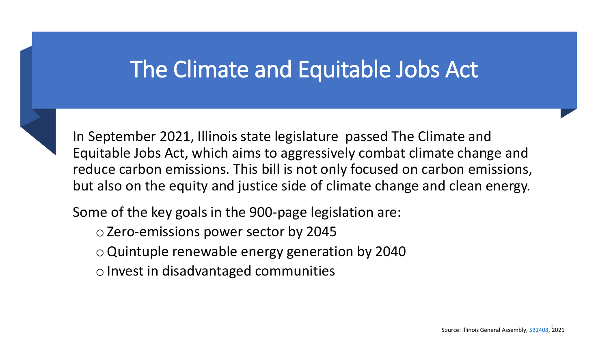## The Climate and Equitable Jobs Act



In September 2021, Illinois state legislature passed The Climate and Equitable Jobs Act, which aims to aggressively combat climate change and reduce carbon emissions. This bill is not only focused on carbon emissions, but also on the equity and justice side of climate change and clean energy.

Some of the key goals in the 900-page legislation are:

oZero-emissions power sector by 2045

- oQuintuple renewable energy generation by 2040
- $\circ$  Invest in disadvantaged communities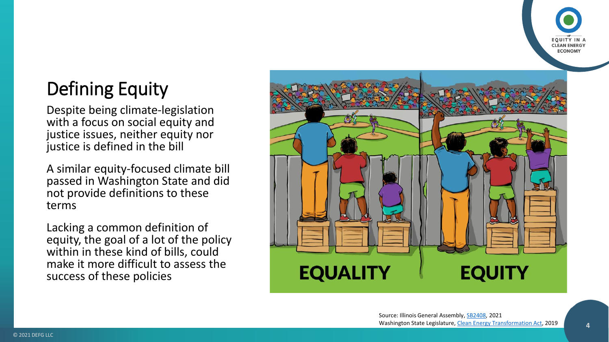

## Defining Equity

Despite being climate-legislation with a focus on social equity and justice issues, neither equity nor justice is defined in the bill

A similar equity-focused climate bill passed in Washington State and did not provide definitions to these terms

Lacking a common definition of equity, the goal of a lot of the policy within in these kind of bills, could make it more difficult to assess the success of these policies

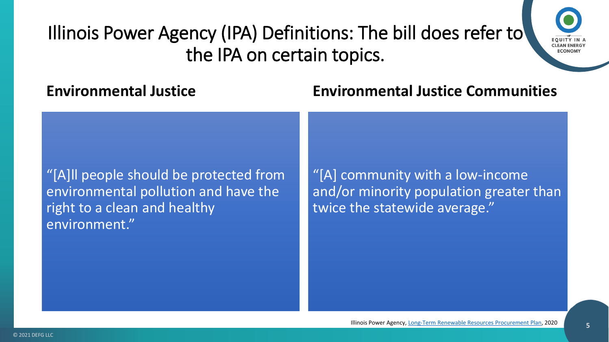

**Environmental Justice**

#### **Environmental Justice Communities**

"[A]ll people should be protected from environmental pollution and have the right to a clean and healthy environment."

"[A] community with a low-income and/or minority population greater than twice the statewide average."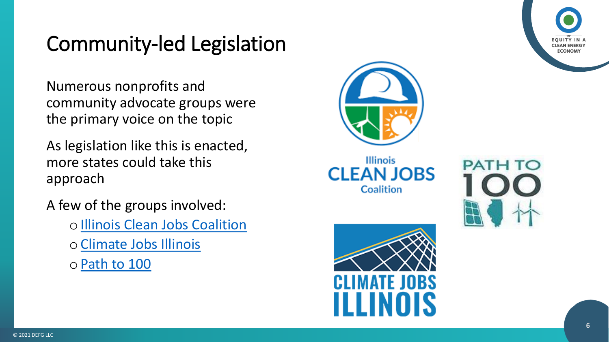

## Community -led Legislation

Numerous nonprofits and community advocate groups were the primary voice on the topic

As legislation like this is enacted, more states could take this approach

A few of the groups involved:

- o [Illinois Clean Jobs Coalition](https://ilcleanjobs.org/)
- o[Climate Jobs Illinois](https://climatejobsillinois.org/)
- o[Path to 100](https://www.pathto100.net/)



**Illinois CLEAN JOBS** Coalition



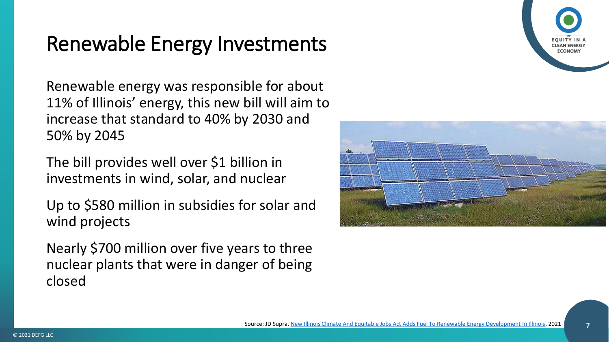## Renewable Energy Investments

Renewable energy was responsible for about 11% of Illinois' energy, this new bill will aim to increase that standard to 40% by 2030 and 50% by 2045

The bill provides well over \$1 billion in investments in wind, solar, and nuclear

Up to \$580 million in subsidies for solar and wind projects

Nearly \$700 million over five years to three nuclear plants that were in danger of being closed



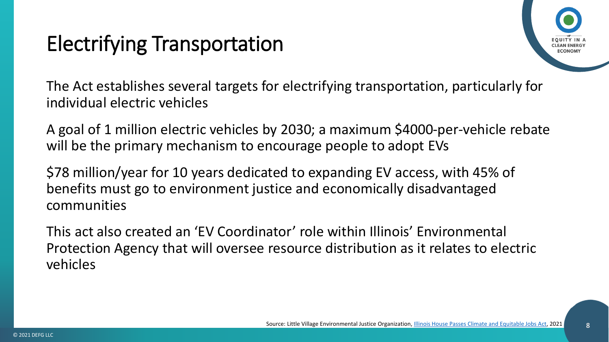## Electrifying Transportation



The Act establishes several targets for electrifying transportation, particularly for individual electric vehicles

A goal of 1 million electric vehicles by 2030; a maximum \$4000-per-vehicle rebate will be the primary mechanism to encourage people to adopt EVs

\$78 million/year for 10 years dedicated to expanding EV access, with 45% of benefits must go to environment justice and economically disadvantaged communities

This act also created an 'EV Coordinator' role within Illinois' Environmental Protection Agency that will oversee resource distribution as it relates to electric vehicles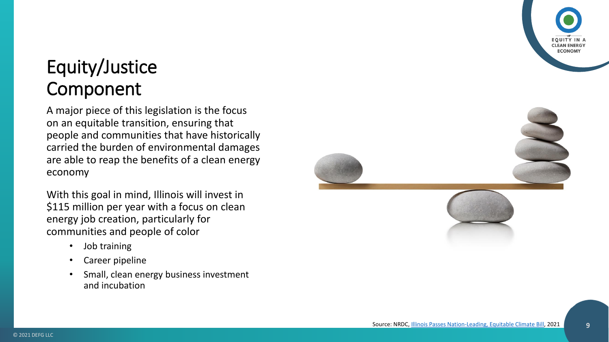# **CLEAN ENER ECONON**

## Equity/Justice Component

A major piece of this legislation is the focus on an equitable transition, ensuring that people and communities that have historically carried the burden of environmental damages are able to reap the benefits of a clean energy economy

With this goal in mind, Illinois will invest in \$115 million per year with a focus on clean energy job creation, particularly for communities and people of color

- Job training
- Career pipeline
- Small, clean energy business investment and incubation

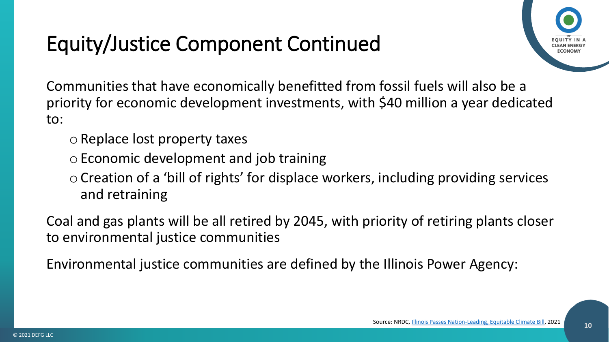## Equity/Justice Component Continued



Communities that have economically benefitted from fossil fuels will also be a priority for economic development investments, with \$40 million a year dedicated to:

- $\circ$  Replace lost property taxes
- o Economic development and job training
- oCreation of a 'bill of rights' for displace workers, including providing services and retraining

Coal and gas plants will be all retired by 2045, with priority of retiring plants closer to environmental justice communities

Environmental justice communities are defined by the Illinois Power Agency: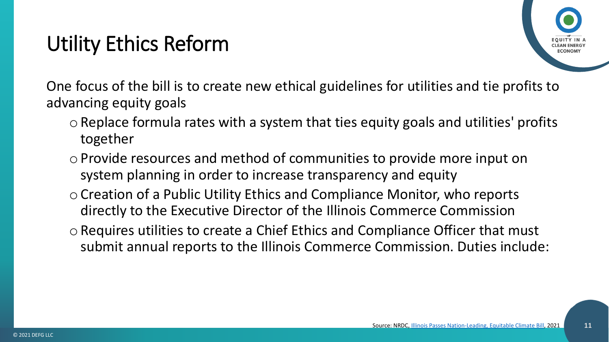## Utility Ethics Reform

One focus of the bill is to create new ethical guidelines for utilities and tie profits to advancing equity goals

- $\circ$  Replace formula rates with a system that ties equity goals and utilities' profits together
- $\circ$  Provide resources and method of communities to provide more input on system planning in order to increase transparency and equity
- oCreation of a Public Utility Ethics and Compliance Monitor, who reports directly to the Executive Director of the Illinois Commerce Commission
- oRequires utilities to create a Chief Ethics and Compliance Officer that must submit annual reports to the Illinois Commerce Commission. Duties include: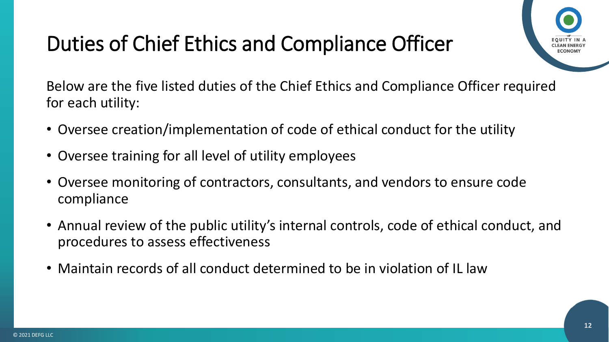## Duties of Chief Ethics and Compliance Officer



Below are the five listed duties of the Chief Ethics and Compliance Officer required for each utility:

- Oversee creation/implementation of code of ethical conduct for the utility
- Oversee training for all level of utility employees
- Oversee monitoring of contractors, consultants, and vendors to ensure code compliance
- Annual review of the public utility's internal controls, code of ethical conduct, and procedures to assess effectiveness
- Maintain records of all conduct determined to be in violation of IL law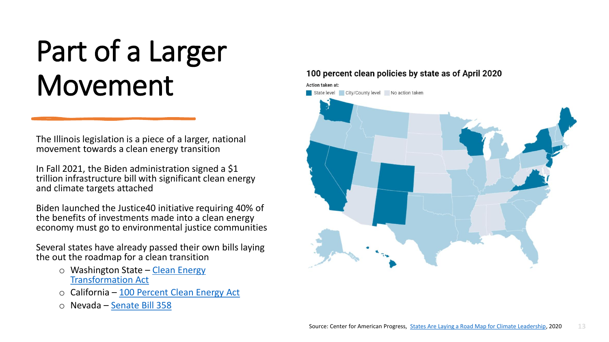# Part of a Larger Movement

The Illinois legislation is a piece of a larger, national movement towards a clean energy transition

In Fall 2021, the Biden administration signed a \$1 trillion infrastructure bill with significant clean energy and climate targets attached

Biden launched the Justice40 initiative requiring 40% of the benefits of investments made into a clean energy economy must go to environmental justice communities

Several states have already passed their own bills laying the out the roadmap for a clean transition

- o Washington State Clean Energy [Transformation Act](https://app.leg.wa.gov/RCW/default.aspx?cite=19.405)
- o California [100 Percent Clean Energy Act](https://leginfo.legislature.ca.gov/faces/billTextClient.xhtml?bill_id=201720180SB100)
- o Nevada [Senate Bill 358](https://www.leg.state.nv.us/App/NELIS/REL/80th2019/Bill/6651/Text)

#### 100 percent clean policies by state as of April 2020

Action taken at: State level City/County level No action taken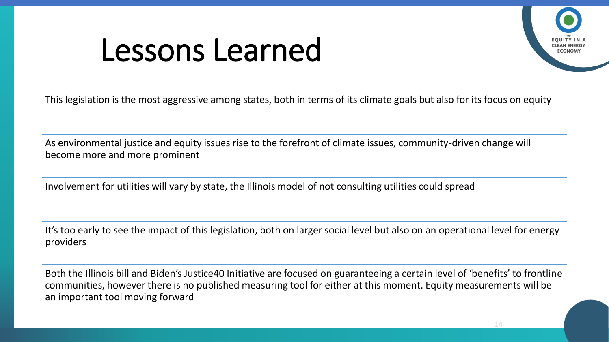# Lessons Learned



This legislation is the most aggressive among states, both in terms of its climate goals but also for its focus on equity

As environmental justice and equity issues rise to the forefront of climate issues, community-driven change will become more and more prominent

Involvement for utilities will vary by state, the Illinois model of not consulting utilities could spread

It's too early to see the impact of this legislation, both on larger social level but also on an operational level for energy providers

Both the Illinois bill and Biden's Justice40 Initiative are focused on guaranteeing a certain level of 'benefits' to frontline communities, however there is no published measuring tool for either at this moment. Equity measurements will be an important tool moving forward